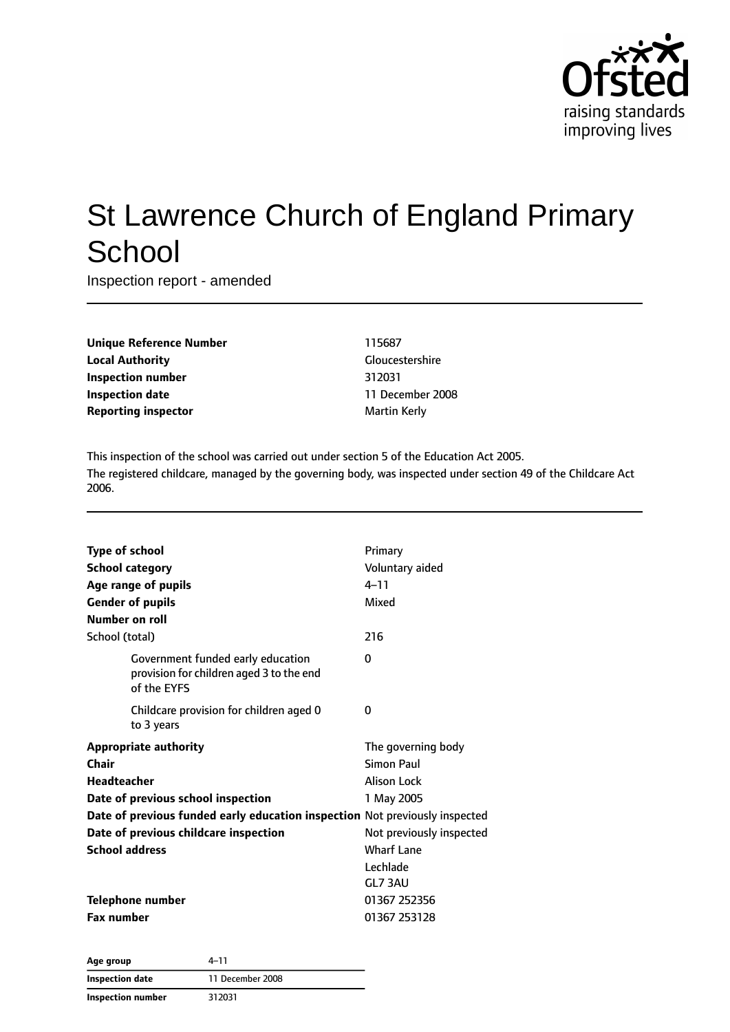

# St Lawrence Church of England Primary **School**

Inspection report - amended

| <b>Unique Reference Number</b> |
|--------------------------------|
| <b>Local Authority</b>         |
| <b>Inspection number</b>       |
| <b>Inspection date</b>         |
| <b>Reporting inspector</b>     |

**Unique Reference Number** 115687 **Gloucestershire Inspection number** 312031 **Inspection date** 11 December 2008 **Martin Kerly** 

This inspection of the school was carried out under section 5 of the Education Act 2005. The registered childcare, managed by the governing body, was inspected under section 49 of the Childcare Act 2006.

| <b>Type of school</b><br><b>School category</b><br>Age range of pupils<br><b>Gender of pupils</b><br>Number on roll | Primary<br>Voluntary aided<br>$4 - 11$<br>Mixed |
|---------------------------------------------------------------------------------------------------------------------|-------------------------------------------------|
| School (total)                                                                                                      | 216                                             |
| Government funded early education<br>provision for children aged 3 to the end<br>of the EYFS                        | 0                                               |
| Childcare provision for children aged 0<br>to 3 years                                                               | 0                                               |
| <b>Appropriate authority</b>                                                                                        | The governing body                              |
| Chair                                                                                                               | Simon Paul                                      |
| <b>Headteacher</b>                                                                                                  | <b>Alison Lock</b>                              |
| Date of previous school inspection                                                                                  | 1 May 2005                                      |
| Date of previous funded early education inspection Not previously inspected                                         |                                                 |
| Date of previous childcare inspection                                                                               | Not previously inspected                        |
| <b>School address</b>                                                                                               | <b>Wharf Lane</b>                               |
|                                                                                                                     | Lechlade                                        |
|                                                                                                                     | GL7 3AU                                         |
| <b>Telephone number</b>                                                                                             | 01367 252356                                    |
| <b>Fax number</b>                                                                                                   | 01367 253128                                    |

| 4–11<br>Age group        |                  |
|--------------------------|------------------|
| Inspection date          | 11 December 2008 |
| <b>Inspection number</b> | 312031           |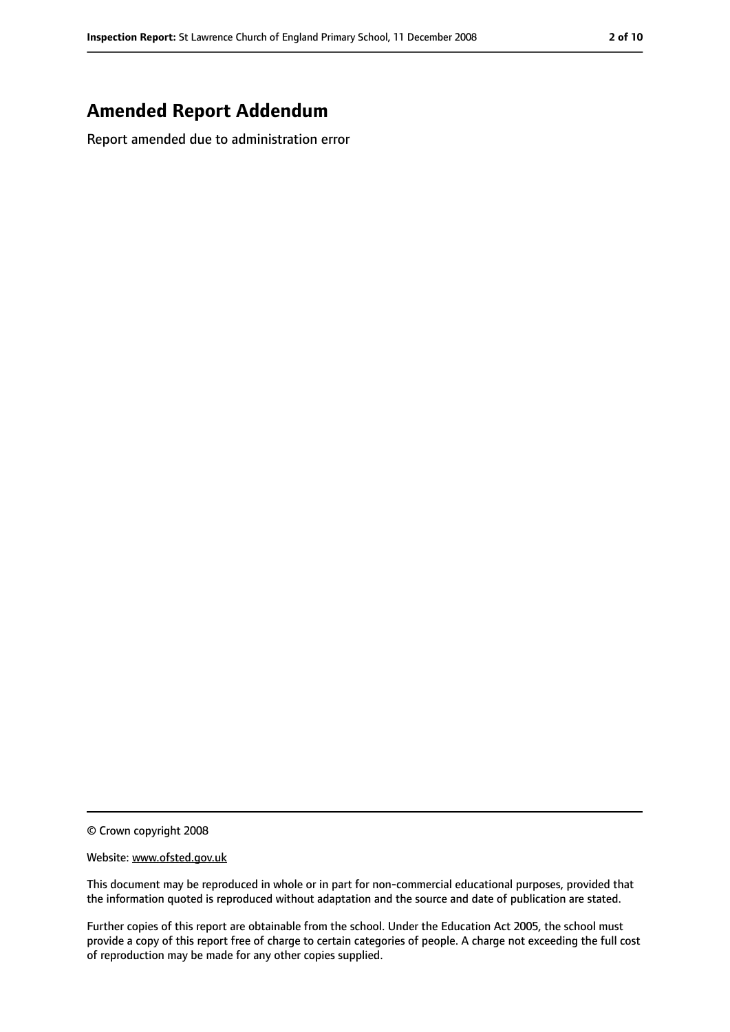### **Amended Report Addendum**

Report amended due to administration error

© Crown copyright 2008

Website: www.ofsted.gov.uk

This document may be reproduced in whole or in part for non-commercial educational purposes, provided that the information quoted is reproduced without adaptation and the source and date of publication are stated.

Further copies of this report are obtainable from the school. Under the Education Act 2005, the school must provide a copy of this report free of charge to certain categories of people. A charge not exceeding the full cost of reproduction may be made for any other copies supplied.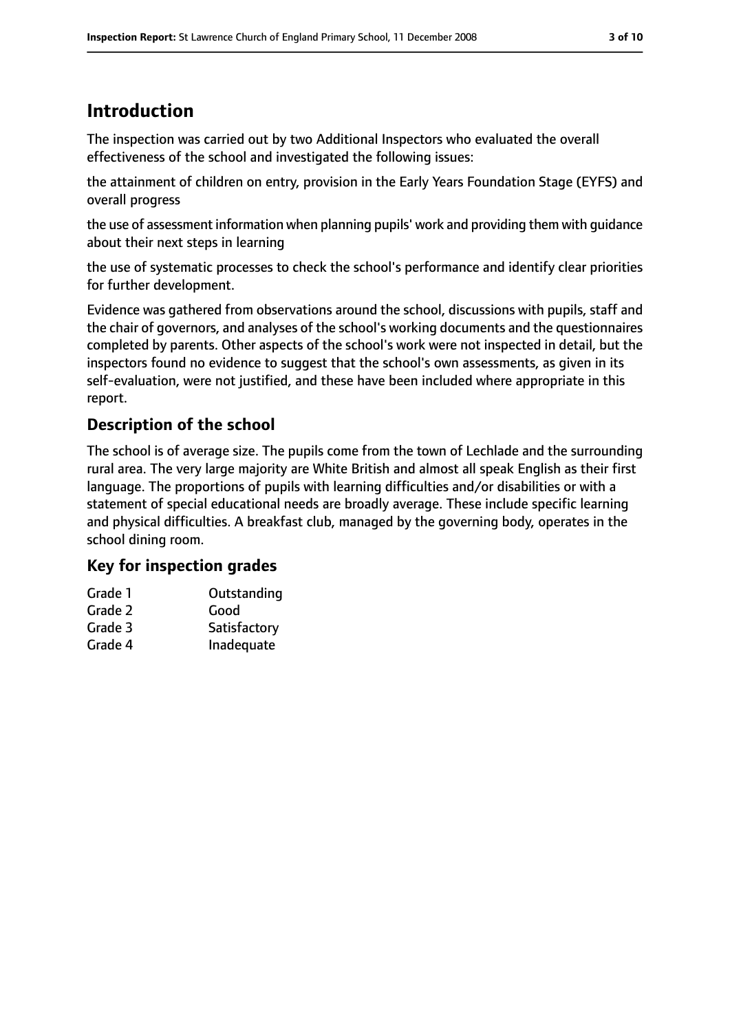# **Introduction**

The inspection was carried out by two Additional Inspectors who evaluated the overall effectiveness of the school and investigated the following issues:

the attainment of children on entry, provision in the Early Years Foundation Stage (EYFS) and overall progress

the use of assessment information when planning pupils' work and providing them with guidance about their next steps in learning

the use of systematic processes to check the school's performance and identify clear priorities for further development.

Evidence was gathered from observations around the school, discussions with pupils, staff and the chair of governors, and analyses of the school's working documents and the questionnaires completed by parents. Other aspects of the school's work were not inspected in detail, but the inspectors found no evidence to suggest that the school's own assessments, as given in its self-evaluation, were not justified, and these have been included where appropriate in this report.

### **Description of the school**

The school is of average size. The pupils come from the town of Lechlade and the surrounding rural area. The very large majority are White British and almost all speak English as their first language. The proportions of pupils with learning difficulties and/or disabilities or with a statement of special educational needs are broadly average. These include specific learning and physical difficulties. A breakfast club, managed by the governing body, operates in the school dining room.

### **Key for inspection grades**

| Grade 1 | Outstanding  |
|---------|--------------|
| Grade 2 | Good         |
| Grade 3 | Satisfactory |
| Grade 4 | Inadequate   |
|         |              |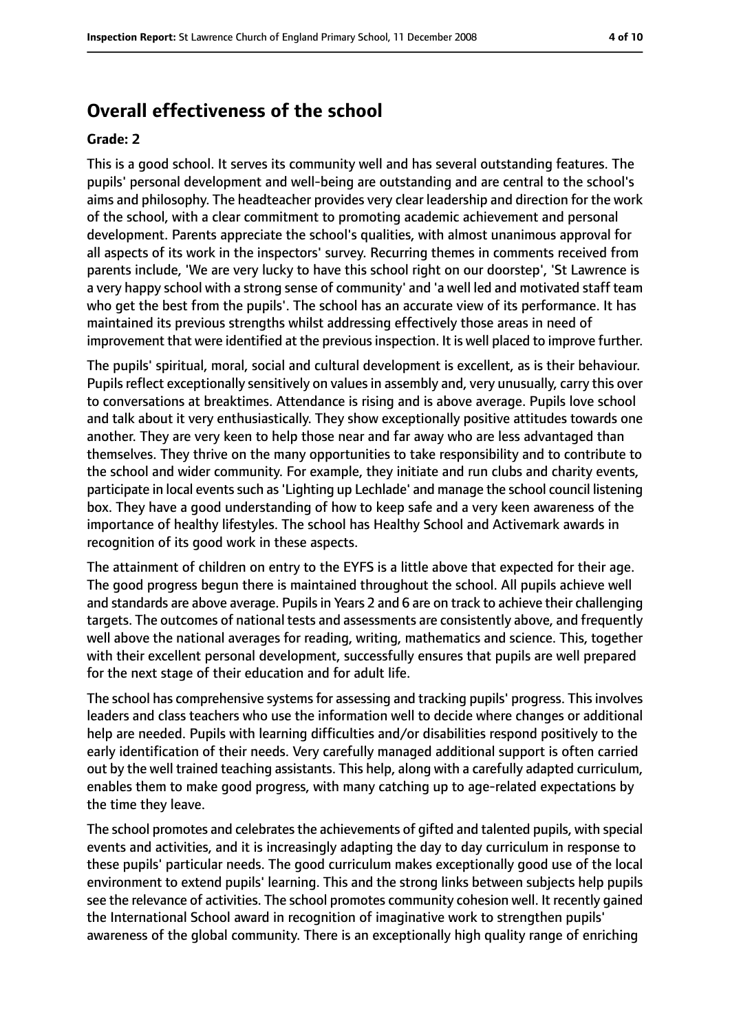### **Overall effectiveness of the school**

#### **Grade: 2**

This is a good school. It serves its community well and has several outstanding features. The pupils' personal development and well-being are outstanding and are central to the school's aims and philosophy. The headteacher provides very clear leadership and direction for the work of the school, with a clear commitment to promoting academic achievement and personal development. Parents appreciate the school's qualities, with almost unanimous approval for all aspects of its work in the inspectors' survey. Recurring themes in comments received from parents include, 'We are very lucky to have this school right on our doorstep', 'St Lawrence is a very happy school with a strong sense of community' and 'a well led and motivated staff team who get the best from the pupils'. The school has an accurate view of its performance. It has maintained its previous strengths whilst addressing effectively those areas in need of improvement that were identified at the previous inspection. It is well placed to improve further.

The pupils' spiritual, moral, social and cultural development is excellent, as is their behaviour. Pupils reflect exceptionally sensitively on values in assembly and, very unusually, carry this over to conversations at breaktimes. Attendance is rising and is above average. Pupils love school and talk about it very enthusiastically. They show exceptionally positive attitudes towards one another. They are very keen to help those near and far away who are less advantaged than themselves. They thrive on the many opportunities to take responsibility and to contribute to the school and wider community. For example, they initiate and run clubs and charity events, participate in local events such as 'Lighting up Lechlade' and manage the school council listening box. They have a good understanding of how to keep safe and a very keen awareness of the importance of healthy lifestyles. The school has Healthy School and Activemark awards in recognition of its good work in these aspects.

The attainment of children on entry to the EYFS is a little above that expected for their age. The good progress begun there is maintained throughout the school. All pupils achieve well and standards are above average. Pupils in Years 2 and 6 are on track to achieve their challenging targets. The outcomes of national tests and assessments are consistently above, and frequently well above the national averages for reading, writing, mathematics and science. This, together with their excellent personal development, successfully ensures that pupils are well prepared for the next stage of their education and for adult life.

The school has comprehensive systems for assessing and tracking pupils' progress. This involves leaders and class teachers who use the information well to decide where changes or additional help are needed. Pupils with learning difficulties and/or disabilities respond positively to the early identification of their needs. Very carefully managed additional support is often carried out by the well trained teaching assistants. This help, along with a carefully adapted curriculum, enables them to make good progress, with many catching up to age-related expectations by the time they leave.

The school promotes and celebrates the achievements of gifted and talented pupils, with special events and activities, and it is increasingly adapting the day to day curriculum in response to these pupils' particular needs. The good curriculum makes exceptionally good use of the local environment to extend pupils' learning. This and the strong links between subjects help pupils see the relevance of activities. The school promotes community cohesion well. It recently gained the International School award in recognition of imaginative work to strengthen pupils' awareness of the global community. There is an exceptionally high quality range of enriching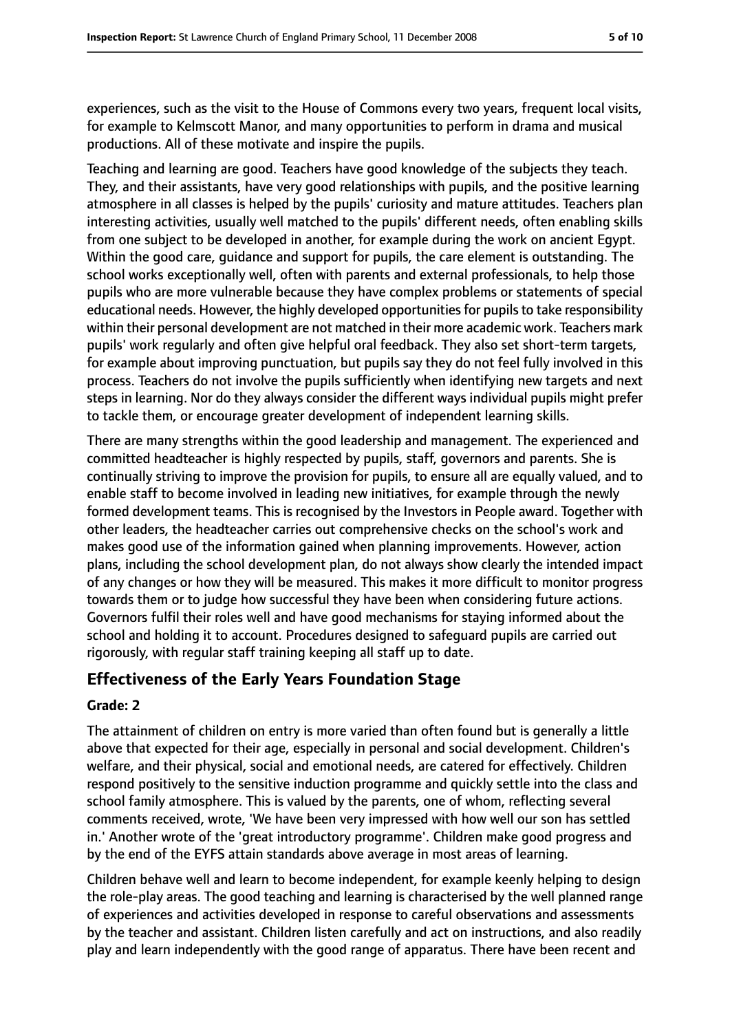experiences, such as the visit to the House of Commons every two years, frequent local visits, for example to Kelmscott Manor, and many opportunities to perform in drama and musical productions. All of these motivate and inspire the pupils.

Teaching and learning are good. Teachers have good knowledge of the subjects they teach. They, and their assistants, have very good relationships with pupils, and the positive learning atmosphere in all classes is helped by the pupils' curiosity and mature attitudes. Teachers plan interesting activities, usually well matched to the pupils' different needs, often enabling skills from one subject to be developed in another, for example during the work on ancient Egypt. Within the good care, guidance and support for pupils, the care element is outstanding. The school works exceptionally well, often with parents and external professionals, to help those pupils who are more vulnerable because they have complex problems or statements of special educational needs. However, the highly developed opportunities for pupils to take responsibility within their personal development are not matched in their more academic work. Teachers mark pupils' work regularly and often give helpful oral feedback. They also set short-term targets, for example about improving punctuation, but pupils say they do not feel fully involved in this process. Teachers do not involve the pupils sufficiently when identifying new targets and next steps in learning. Nor do they always consider the different ways individual pupils might prefer to tackle them, or encourage greater development of independent learning skills.

There are many strengths within the good leadership and management. The experienced and committed headteacher is highly respected by pupils, staff, governors and parents. She is continually striving to improve the provision for pupils, to ensure all are equally valued, and to enable staff to become involved in leading new initiatives, for example through the newly formed development teams. This is recognised by the Investors in People award. Together with other leaders, the headteacher carries out comprehensive checks on the school's work and makes good use of the information gained when planning improvements. However, action plans, including the school development plan, do not always show clearly the intended impact of any changes or how they will be measured. This makes it more difficult to monitor progress towards them or to judge how successful they have been when considering future actions. Governors fulfil their roles well and have good mechanisms for staying informed about the school and holding it to account. Procedures designed to safeguard pupils are carried out rigorously, with regular staff training keeping all staff up to date.

### **Effectiveness of the Early Years Foundation Stage**

#### **Grade: 2**

The attainment of children on entry is more varied than often found but is generally a little above that expected for their age, especially in personal and social development. Children's welfare, and their physical, social and emotional needs, are catered for effectively. Children respond positively to the sensitive induction programme and quickly settle into the class and school family atmosphere. This is valued by the parents, one of whom, reflecting several comments received, wrote, 'We have been very impressed with how well our son has settled in.' Another wrote of the 'great introductory programme'. Children make good progress and by the end of the EYFS attain standards above average in most areas of learning.

Children behave well and learn to become independent, for example keenly helping to design the role-play areas. The good teaching and learning is characterised by the well planned range of experiences and activities developed in response to careful observations and assessments by the teacher and assistant. Children listen carefully and act on instructions, and also readily play and learn independently with the good range of apparatus. There have been recent and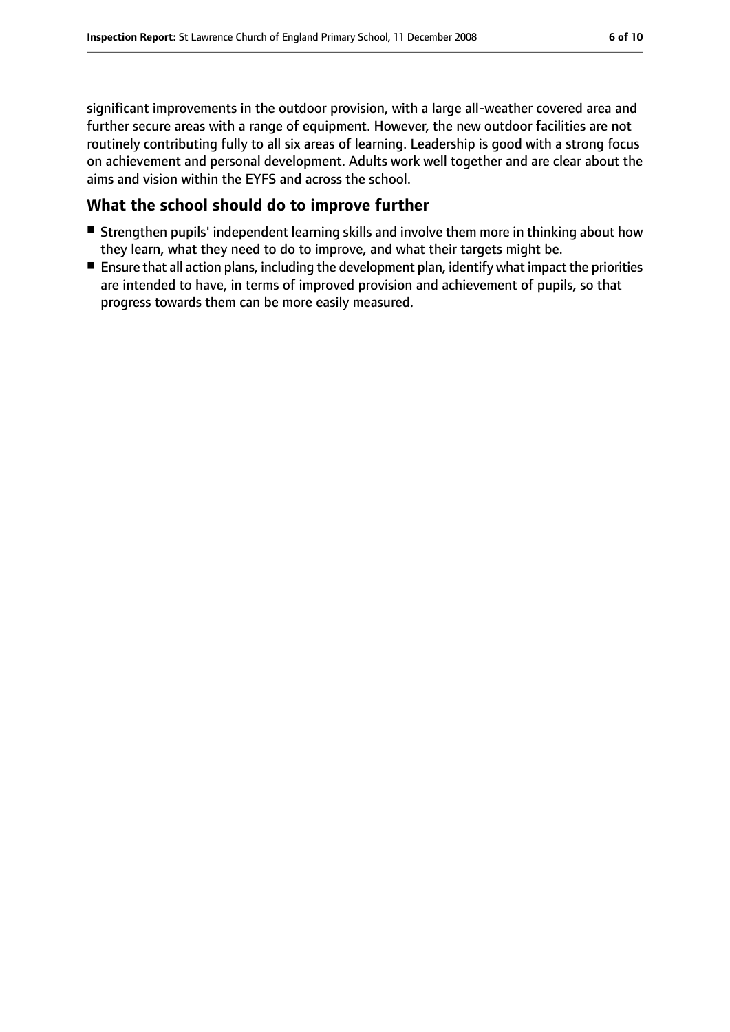significant improvements in the outdoor provision, with a large all-weather covered area and further secure areas with a range of equipment. However, the new outdoor facilities are not routinely contributing fully to all six areas of learning. Leadership is good with a strong focus on achievement and personal development. Adults work well together and are clear about the aims and vision within the EYFS and across the school.

### **What the school should do to improve further**

- Strengthen pupils' independent learning skills and involve them more in thinking about how they learn, what they need to do to improve, and what their targets might be.
- Ensure that all action plans, including the development plan, identify what impact the priorities are intended to have, in terms of improved provision and achievement of pupils, so that progress towards them can be more easily measured.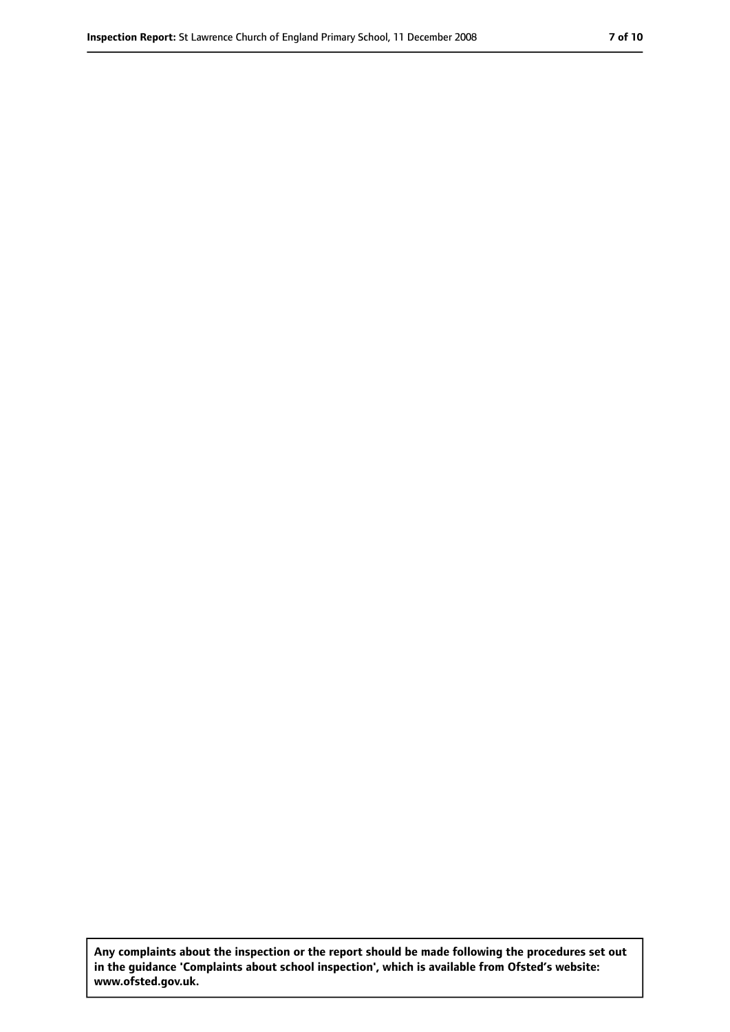**Any complaints about the inspection or the report should be made following the procedures set out in the guidance 'Complaints about school inspection', which is available from Ofsted's website: www.ofsted.gov.uk.**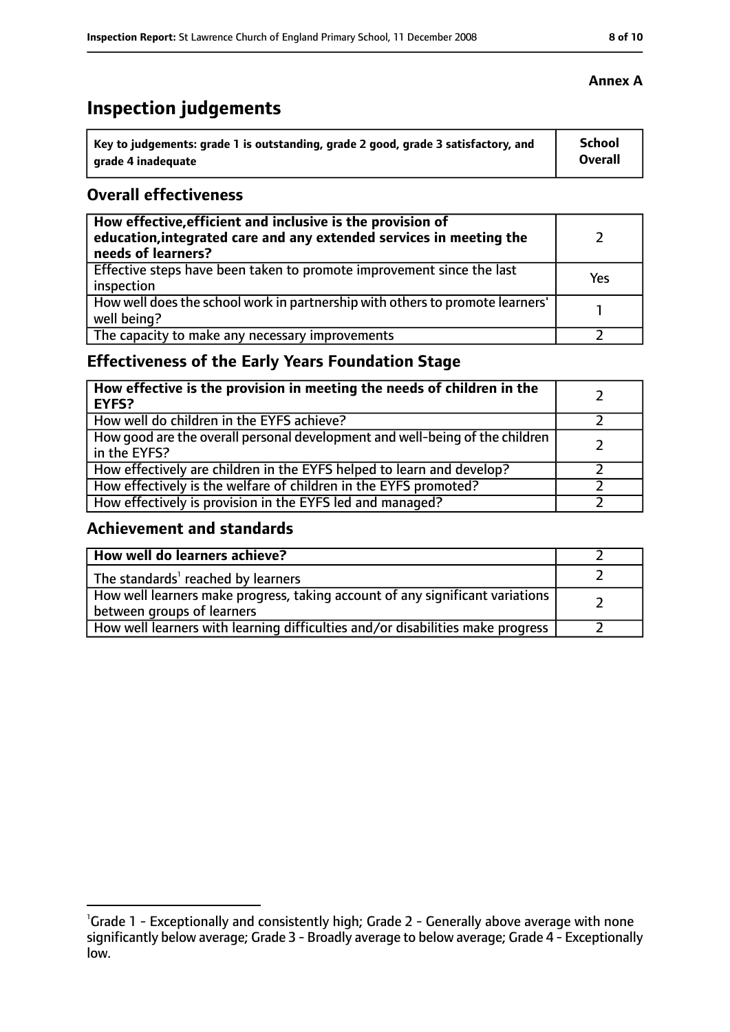# **Inspection judgements**

| Key to judgements: grade 1 is outstanding, grade 2 good, grade 3 satisfactory, and | <b>School</b>  |
|------------------------------------------------------------------------------------|----------------|
| arade 4 inadequate                                                                 | <b>Overall</b> |

### **Overall effectiveness**

| How effective, efficient and inclusive is the provision of<br>education, integrated care and any extended services in meeting the<br>needs of learners? |     |
|---------------------------------------------------------------------------------------------------------------------------------------------------------|-----|
| Effective steps have been taken to promote improvement since the last<br>inspection                                                                     | Yes |
| How well does the school work in partnership with others to promote learners'<br>well being?                                                            |     |
| The capacity to make any necessary improvements                                                                                                         |     |

### **Effectiveness of the Early Years Foundation Stage**

| How effective is the provision in meeting the needs of children in the<br>EYFS?              |  |
|----------------------------------------------------------------------------------------------|--|
| How well do children in the EYFS achieve?                                                    |  |
| How good are the overall personal development and well-being of the children<br>in the EYFS? |  |
| How effectively are children in the EYFS helped to learn and develop?                        |  |
| How effectively is the welfare of children in the EYFS promoted?                             |  |
| How effectively is provision in the EYFS led and managed?                                    |  |

### **Achievement and standards**

| How well do learners achieve?                                                                               |  |
|-------------------------------------------------------------------------------------------------------------|--|
| The standards <sup>1</sup> reached by learners                                                              |  |
| How well learners make progress, taking account of any significant variations<br>between groups of learners |  |
| How well learners with learning difficulties and/or disabilities make progress                              |  |

<sup>&</sup>lt;sup>1</sup>Grade 1 - Exceptionally and consistently high; Grade 2 - Generally above average with none significantly below average; Grade 3 - Broadly average to below average; Grade 4 - Exceptionally low.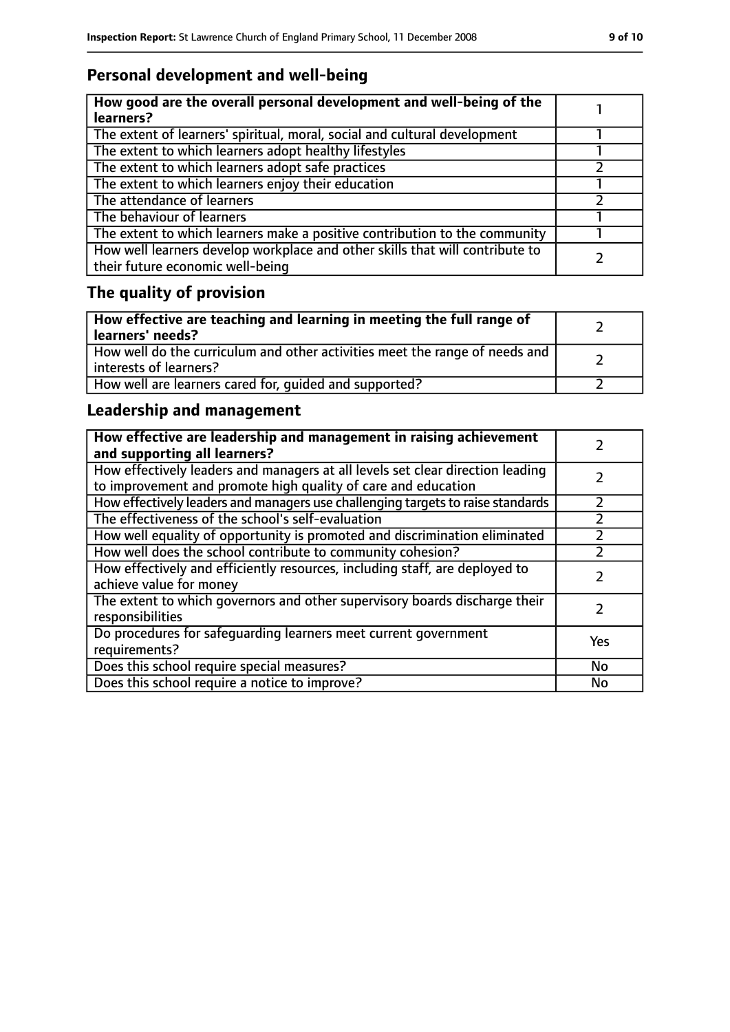### **Personal development and well-being**

| How good are the overall personal development and well-being of the<br>learners?                                 |  |
|------------------------------------------------------------------------------------------------------------------|--|
| The extent of learners' spiritual, moral, social and cultural development                                        |  |
| The extent to which learners adopt healthy lifestyles                                                            |  |
| The extent to which learners adopt safe practices                                                                |  |
| The extent to which learners enjoy their education                                                               |  |
| The attendance of learners                                                                                       |  |
| The behaviour of learners                                                                                        |  |
| The extent to which learners make a positive contribution to the community                                       |  |
| How well learners develop workplace and other skills that will contribute to<br>their future economic well-being |  |

## **The quality of provision**

| How effective are teaching and learning in meeting the full range of<br>learners' needs?              |  |
|-------------------------------------------------------------------------------------------------------|--|
| How well do the curriculum and other activities meet the range of needs and<br>interests of learners? |  |
| How well are learners cared for, quided and supported?                                                |  |

### **Leadership and management**

| How effective are leadership and management in raising achievement<br>and supporting all learners?                                              |     |
|-------------------------------------------------------------------------------------------------------------------------------------------------|-----|
| How effectively leaders and managers at all levels set clear direction leading<br>to improvement and promote high quality of care and education |     |
| How effectively leaders and managers use challenging targets to raise standards                                                                 |     |
| The effectiveness of the school's self-evaluation                                                                                               |     |
| How well equality of opportunity is promoted and discrimination eliminated                                                                      |     |
| How well does the school contribute to community cohesion?                                                                                      |     |
| How effectively and efficiently resources, including staff, are deployed to<br>achieve value for money                                          |     |
| The extent to which governors and other supervisory boards discharge their<br>responsibilities                                                  |     |
| Do procedures for safeguarding learners meet current government<br>requirements?                                                                | Yes |
| Does this school require special measures?                                                                                                      | No  |
| Does this school require a notice to improve?                                                                                                   | No  |